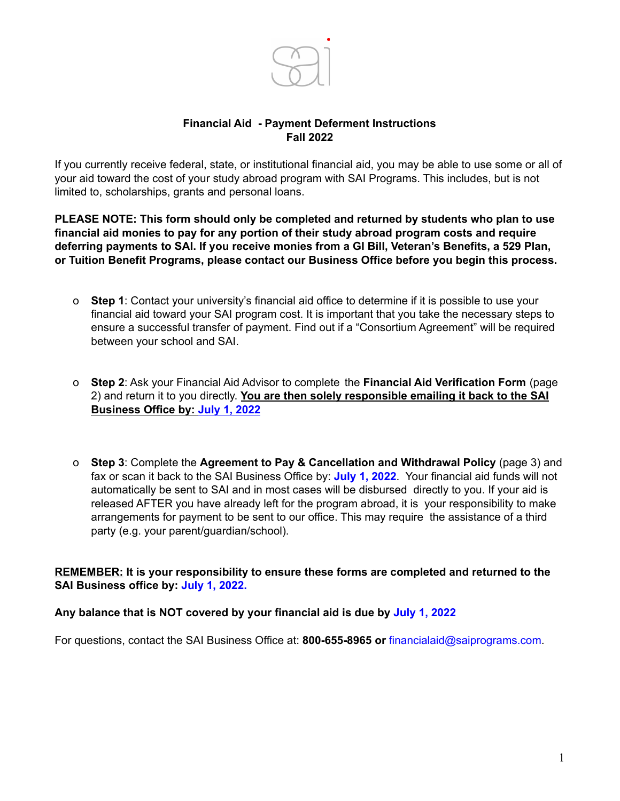

### **Financial Aid - Payment Deferment Instructions Fall 2022**

If you currently receive federal, state, or institutional financial aid, you may be able to use some or all of your aid toward the cost of your study abroad program with SAI Programs. This includes, but is not limited to, scholarships, grants and personal loans.

**PLEASE NOTE: This form should only be completed and returned by students who plan to use financial aid monies to pay for any portion of their study abroad program costs and require deferring payments to SAI. If you receive monies from a GI Bill, Veteran's Benefits, a 529 Plan, or Tuition Benefit Programs, please contact our Business Office before you begin this process.**

- o **Step 1**: Contact your university's financial aid office to determine if it is possible to use your financial aid toward your SAI program cost. It is important that you take the necessary steps to ensure a successful transfer of payment. Find out if a "Consortium Agreement" will be required between your school and SAI.
- o **Step 2**: Ask your Financial Aid Advisor to complete the **Financial Aid Verification Form** (page 2) and return it to you directly. **You are then solely responsible emailing it back to the SAI Business Office by: July 1, 2022**
- o **Step 3**: Complete the **Agreement to Pay & Cancellation and Withdrawal Policy** (page 3) and fax or scan it back to the SAI Business Office by: **July 1, 2022**. Your financial aid funds will not automatically be sent to SAI and in most cases will be disbursed directly to you. If your aid is released AFTER you have already left for the program abroad, it is your responsibility to make arrangements for payment to be sent to our office. This may require the assistance of a third party (e.g. your parent/guardian/school).

**REMEMBER: It is your responsibility to ensure these forms are completed and returned to the SAI Business office by: July 1, 2022.**

#### **Any balance that is NOT covered by your financial aid is due by July 1, 2022**

For questions, contact the SAI Business Office at: **800-655-8965 or** [financialaid@saiprograms.com.](mailto:financialaid@saiprograms.com)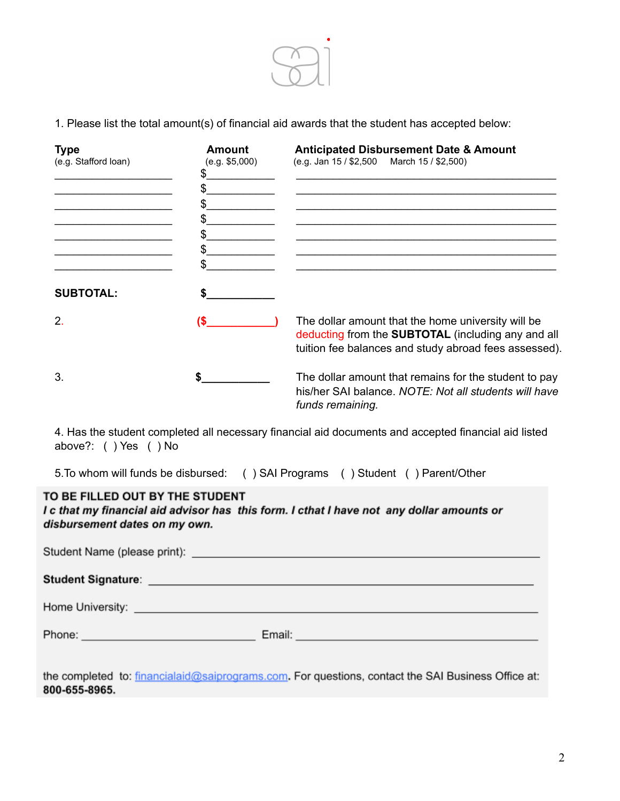

1. Please list the total amount(s) of financial aid awards that the student has accepted below:

| <b>Type</b><br>(e.g. Stafford loan) | <b>Amount</b><br>(e.g. \$5,000) | <b>Anticipated Disbursement Date &amp; Amount</b><br>(e.g. Jan 15 / \$2,500 March 15 / \$2,500)                                                                          |
|-------------------------------------|---------------------------------|--------------------------------------------------------------------------------------------------------------------------------------------------------------------------|
| <b>SUBTOTAL:</b>                    |                                 |                                                                                                                                                                          |
| $\mathcal{P}$                       |                                 | The dollar amount that the home university will be<br>deducting from the <b>SUBTOTAL</b> (including any and all<br>tuition fee balances and study abroad fees assessed). |
| 3.                                  |                                 | The dollar amount that remains for the student to pay<br>his/her SAI balance. NOTE: Not all students will have<br>funds remaining.                                       |

4. Has the student completed all necessary financial aid documents and accepted financial aid listed above?: ( ) Yes ( ) No

5.To whom will funds be disbursed: ( ) SAI Programs ( ) Student ( ) Parent/Other

# TO BE FILLED OUT BY THE STUDENT

I c that my financial aid advisor has this form. I cthat I have not any dollar amounts or disbursement dates on my own.

| Home University: New York 2014 19:00:00 19:00:00 19:00:00 19:00:00 19:00:00 19:00:00 19:00:00 19:00:00 19:00:0 |                                                                                                               |  |  |  |
|----------------------------------------------------------------------------------------------------------------|---------------------------------------------------------------------------------------------------------------|--|--|--|
| Phone: <u>_____________________________</u>                                                                    | Email: 2008. [2010] [2010] [2010] [2010] [2010] [2010] [2010] [2010] [2010] [2010] [2010] [2010] [2010] [2010 |  |  |  |

the completed to: financialaid@saiprograms.com. For questions, contact the SAI Business Office at: 800-655-8965.